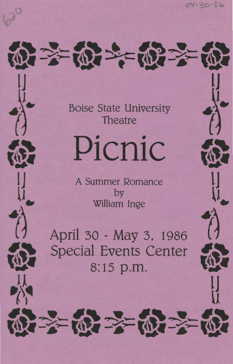$04 - 30 - 86$ 

*<sup>1</sup>***1., ..t'** ., Boise State University **<sup>4</sup>** *f d f f f f f f f* 

\*:t.~• **......** #3~t. ~~~· *...... #3* 

 $m \rightarrow m$ 

**lJ lj** 

Picnic

**la Summer Romance**<br>**by** 

william Inge<br> **40.4 April 30 - May 3, 1986** Special Events Center<br>8:15 p.m.  $\frac{1}{N}$ 

\*3~•-- **#3** ~..\_ \*3~•-- **#3** t~--~ '~- -~,~--~,~~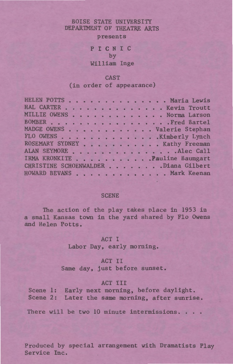## BOISE STATE UNIVERSITY DEPARTMENT OF THEATRE ARTS

presents

# P I C N I C by William Inge

## CAST

## (in order of appearance)

| HELEN POTTS Maria Lewis              |
|--------------------------------------|
| HAL CARTER Kevin Troutt              |
| MILLIE OWENS Norma Larson            |
| BOMBER Fred Bartel                   |
| MADGE OWENS Valerie Stephan          |
| FLO OWENS Kimberly Lynch             |
| ROSEMARY SYDNEY Kathy Freeman        |
| ALAN SEYMORE Alec Call               |
| IRMA KRONKITE Pauline Baumgart       |
| CHRISTINE SCHOENWALDER Diana Gilbert |
| HOWARD BEVANS Mark Keenan            |
|                                      |

#### **SCENE**

The action of the play takes olace in 1953 in a small Kansas town in the yard shared by Flo Owens and Helen Potts.

## ACT I

Labor Day, early morning.

## ACT II

Same day, just before sunset.

#### ACT III

Scene 1: Early next morning, before daylight. Scene 2: Later the same morning, after sunrise.

There will be two 10 minute intermissions...

Produced by special arrangement with Dramatists Play Service Inc.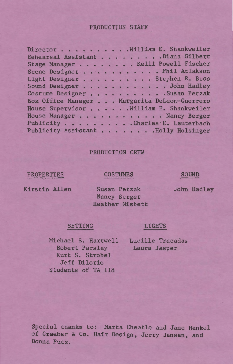#### PRODUCTION STAFF

| Director William E. Shankweiler              |
|----------------------------------------------|
| Rehearsal Assistant Diana Gilbert            |
| Stage Manager Kelli Powell Fischer           |
| Scene Designer Phil Atlakson                 |
| Light Designer Stephen R. Buss               |
| Sound Designer John Hadley                   |
| Costume DesignerSusan Petzak                 |
| Box Office Manager Margarita DeLeon-Guerrero |
| House Supervisor William E. Shankweiler      |
| House Manager Nancy Berger                   |
| Publicity Charles E. Lauterbach              |
| Publicity Assistant Holly Holsinger          |
|                                              |

## PRODUCTION CREW

## PROPERTIES

#### COSTUMES

## SOUND

John Hadley

Kirstin Allen

Susan Petzak Nancy Berger Heather Nisbett

SETTING LIGHTS

Michael S. Hartwell Lucille Tracadas Robert Parsley Kurt S. Strobel Jeff Dilorio Students of TA 118

Laura Jasper

Special thanks to: Marta Cheatle and Jane Henkel of Graeber & Co. Hair Design, Jerry Jensen, and Donna Putz.